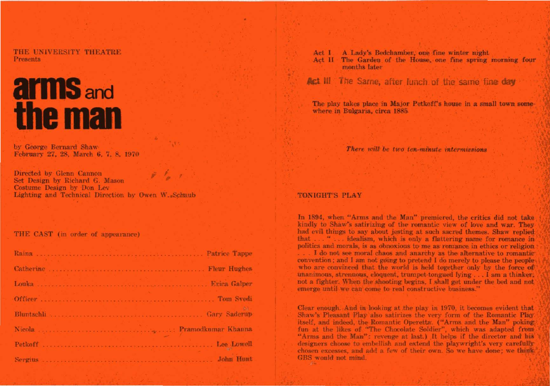THE UNIVERSITY THEATRE **Presents** 

# **arms** and the man

by George Bernard Shaw February 27, 28, March 6, 7, 8, 1970

Directed by Glenn Cannon Set Design by Richard G. Mason Costume Design by Don Lev Lighting and Technical Direction by Owen W. Schaub

THE CAST (in order of appearance)

| <b>John Hunt</b> |
|------------------|

A Lady's Bedchamber, one fine winter night Act 1 Act II The Garden of the House, one fine spring morning four months later

Act III The Same, after Junch of the same fine day

The play takes place in Major Petkoff's house in a small town somewhere in Bulgaria, circa 1885.

There will be two ten-minute intermissions

## **TONIGHT'S PLAY**

In 1894, when "Arms and the Man" premiered, the critics did not take kindly to Shaw's satirizing of the romantic view of love and war. They had evil things to say about jesting at such sacred themes. Shaw replied that . . . " . . . idealism, which is only a flattering name for romance in politics and morals, is as obnoxious to me as romance in ethics or religion ... I do not see moral chaos and anarchy as the alternative to romantic convention; and I am not going to pretend I do merely to please the people who are convinced that the world is held together only by the force of unanimous, strenuous, eloquent, trumpet-tongued lying . . . I am a thinker, not a fighter. When the shooting begins, I shall get under the bed and not emerge until we can come to real constructive business."

Clear enough. And in looking at the play in 1970, it becomes evident that Shaw's Pleasant Play also satirizes the very form of the Romantic Play itself, and indeed, the Romantic Operetta. ("Arms and the Man" poking fun at the likes of "The Chocolate Soldier", which was adapted from "Arms and the Man": revenge at last.) It helps if the director and his designers choose to embellish and extend the playwright's very carefully chosen excesses, and add a few of their own. So we have done; we think GBS would not mind.  $\mathcal{L}$